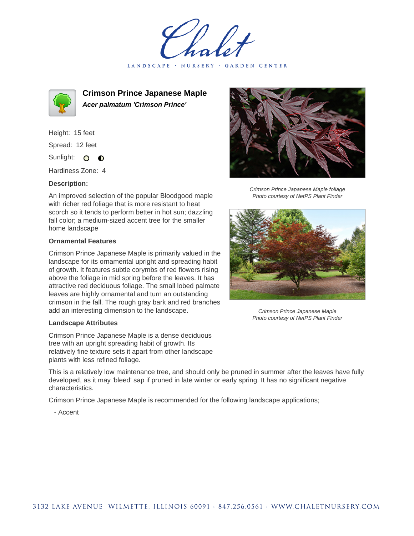LANDSCAPE · NURSERY · GARDEN CENTER



**Crimson Prince Japanese Maple Acer palmatum 'Crimson Prince'**

Height: 15 feet Spread: 12 feet Sunlight: O  $\bullet$ 

Hardiness Zone: 4

## **Description:**

An improved selection of the popular Bloodgood maple with richer red foliage that is more resistant to heat scorch so it tends to perform better in hot sun; dazzling fall color; a medium-sized accent tree for the smaller home landscape

## **Ornamental Features**

Crimson Prince Japanese Maple is primarily valued in the landscape for its ornamental upright and spreading habit of growth. It features subtle corymbs of red flowers rising above the foliage in mid spring before the leaves. It has attractive red deciduous foliage. The small lobed palmate leaves are highly ornamental and turn an outstanding crimson in the fall. The rough gray bark and red branches add an interesting dimension to the landscape.

## **Landscape Attributes**

Crimson Prince Japanese Maple is a dense deciduous tree with an upright spreading habit of growth. Its relatively fine texture sets it apart from other landscape plants with less refined foliage.

This is a relatively low maintenance tree, and should only be pruned in summer after the leaves have fully developed, as it may 'bleed' sap if pruned in late winter or early spring. It has no significant negative characteristics.

Crimson Prince Japanese Maple is recommended for the following landscape applications;

- Accent



Crimson Prince Japanese Maple foliage Photo courtesy of NetPS Plant Finder



Crimson Prince Japanese Maple Photo courtesy of NetPS Plant Finder